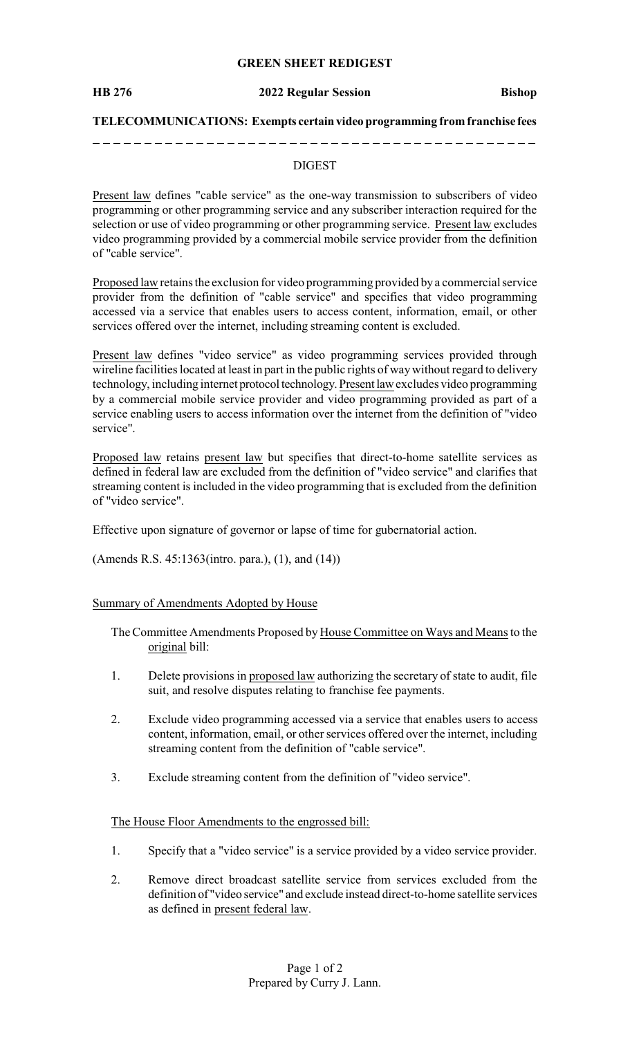# **GREEN SHEET REDIGEST**

### **HB 276 2022 Regular Session Bishop**

## **TELECOMMUNICATIONS: Exempts certainvideo programming fromfranchise fees**

# DIGEST

Present law defines "cable service" as the one-way transmission to subscribers of video programming or other programming service and any subscriber interaction required for the selection or use of video programming or other programming service. Present law excludes video programming provided by a commercial mobile service provider from the definition of "cable service".

Proposed law retains the exclusion for video programming provided by a commercial service provider from the definition of "cable service" and specifies that video programming accessed via a service that enables users to access content, information, email, or other services offered over the internet, including streaming content is excluded.

Present law defines "video service" as video programming services provided through wireline facilities located at least in part in the public rights of waywithout regard to delivery technology, including internet protocol technology. Present law excludes video programming by a commercial mobile service provider and video programming provided as part of a service enabling users to access information over the internet from the definition of "video service".

Proposed law retains present law but specifies that direct-to-home satellite services as defined in federal law are excluded from the definition of "video service" and clarifies that streaming content is included in the video programming that is excluded from the definition of "video service".

Effective upon signature of governor or lapse of time for gubernatorial action.

(Amends R.S. 45:1363(intro. para.), (1), and (14))

# Summary of Amendments Adopted by House

The Committee Amendments Proposed by House Committee on Ways and Means to the original bill:

- 1. Delete provisions in proposed law authorizing the secretary of state to audit, file suit, and resolve disputes relating to franchise fee payments.
- 2. Exclude video programming accessed via a service that enables users to access content, information, email, or other services offered over the internet, including streaming content from the definition of "cable service".
- 3. Exclude streaming content from the definition of "video service".

### The House Floor Amendments to the engrossed bill:

- 1. Specify that a "video service" is a service provided by a video service provider.
- 2. Remove direct broadcast satellite service from services excluded from the definition of "video service" and exclude instead direct-to-home satellite services as defined in present federal law.